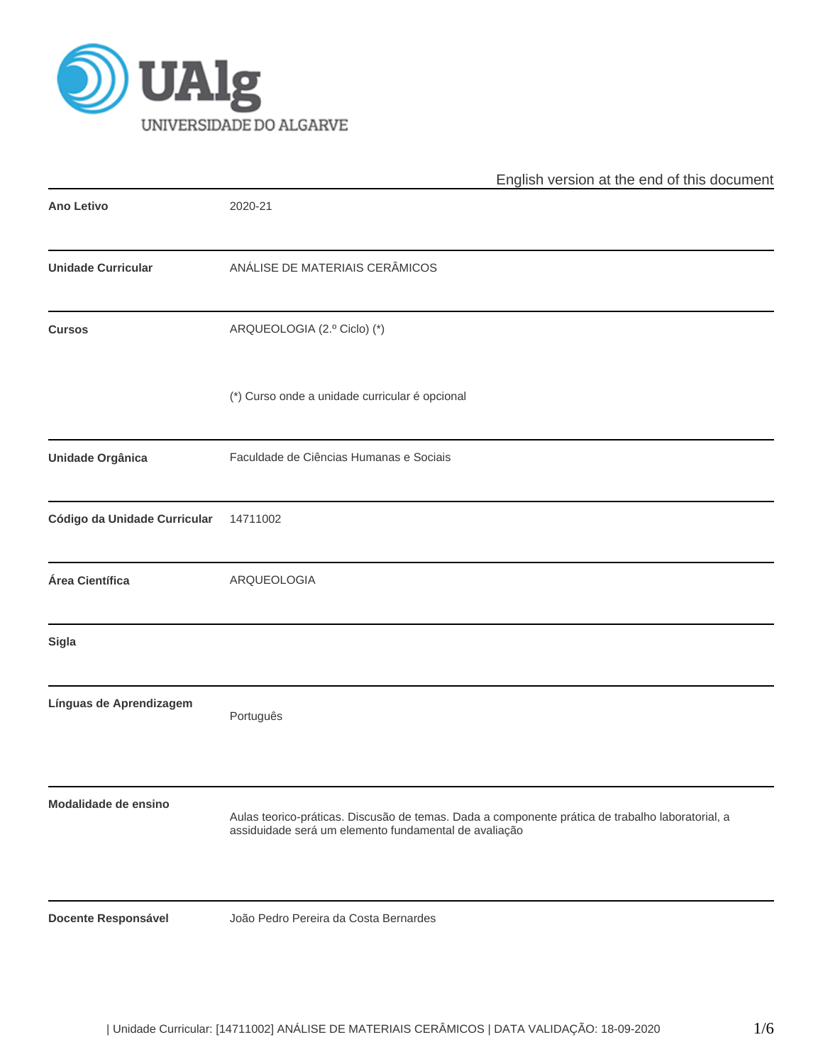

|                              | English version at the end of this document                                                                                                               |
|------------------------------|-----------------------------------------------------------------------------------------------------------------------------------------------------------|
| Ano Letivo                   | 2020-21                                                                                                                                                   |
| <b>Unidade Curricular</b>    | ANÁLISE DE MATERIAIS CERÂMICOS                                                                                                                            |
| <b>Cursos</b>                | ARQUEOLOGIA (2.º Ciclo) (*)                                                                                                                               |
|                              | (*) Curso onde a unidade curricular é opcional                                                                                                            |
| Unidade Orgânica             | Faculdade de Ciências Humanas e Sociais                                                                                                                   |
| Código da Unidade Curricular | 14711002                                                                                                                                                  |
| Área Científica              | ARQUEOLOGIA                                                                                                                                               |
| <b>Sigla</b>                 |                                                                                                                                                           |
| Línguas de Aprendizagem      | Português                                                                                                                                                 |
| Modalidade de ensino         | Aulas teorico-práticas. Discusão de temas. Dada a componente prática de trabalho laboratorial, a<br>assiduidade será um elemento fundamental de avaliação |
| <b>Docente Responsável</b>   | João Pedro Pereira da Costa Bernardes                                                                                                                     |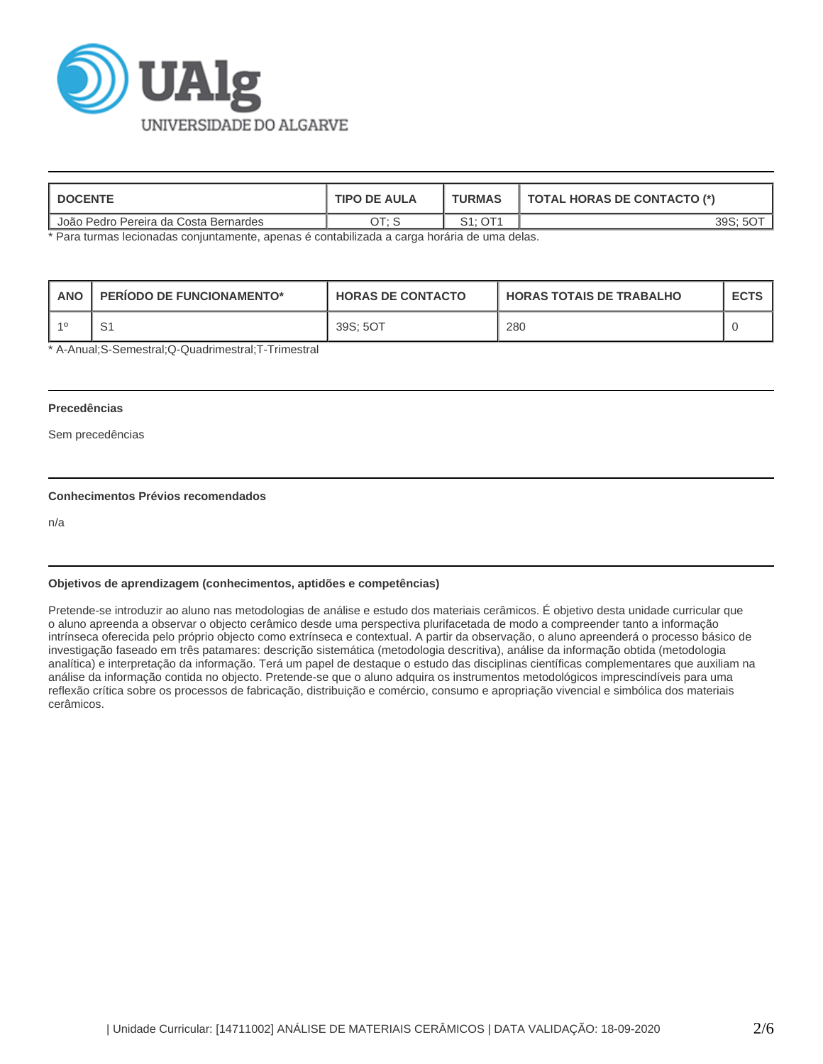

| <b>I DOCENTE</b>                      | <b>TIPO DE AULA</b> | <b>TURMAS</b> | <b>TOTAL HORAS DE CONTACTO (*)</b> |
|---------------------------------------|---------------------|---------------|------------------------------------|
| João Pedro Pereira da Costa Bernardes | ח דר                | S1: OT1       | 39S:                               |

\* Para turmas lecionadas conjuntamente, apenas é contabilizada a carga horária de uma delas.

| <b>ANC</b> | <b>PERIODO DE FUNCIONAMENTO*</b> | <b>HORAS DE CONTACTO</b> | I HORAS TOTAIS DE TRABALHO | <b>ECTS</b> |
|------------|----------------------------------|--------------------------|----------------------------|-------------|
| $-40$      | ا ب                              | 39S: 5OT                 | 280                        |             |

\* A-Anual;S-Semestral;Q-Quadrimestral;T-Trimestral

#### **Precedências**

Sem precedências

# **Conhecimentos Prévios recomendados**

n/a

### **Objetivos de aprendizagem (conhecimentos, aptidões e competências)**

Pretende-se introduzir ao aluno nas metodologias de análise e estudo dos materiais cerâmicos. É objetivo desta unidade curricular que o aluno apreenda a observar o objecto cerâmico desde uma perspectiva plurifacetada de modo a compreender tanto a informação intrínseca oferecida pelo próprio objecto como extrínseca e contextual. A partir da observação, o aluno apreenderá o processo básico de investigação faseado em três patamares: descrição sistemática (metodologia descritiva), análise da informação obtida (metodologia analítica) e interpretação da informação. Terá um papel de destaque o estudo das disciplinas científicas complementares que auxiliam na análise da informação contida no objecto. Pretende-se que o aluno adquira os instrumentos metodológicos imprescindíveis para uma reflexão crítica sobre os processos de fabricação, distribuição e comércio, consumo e apropriação vivencial e simbólica dos materiais cerâmicos.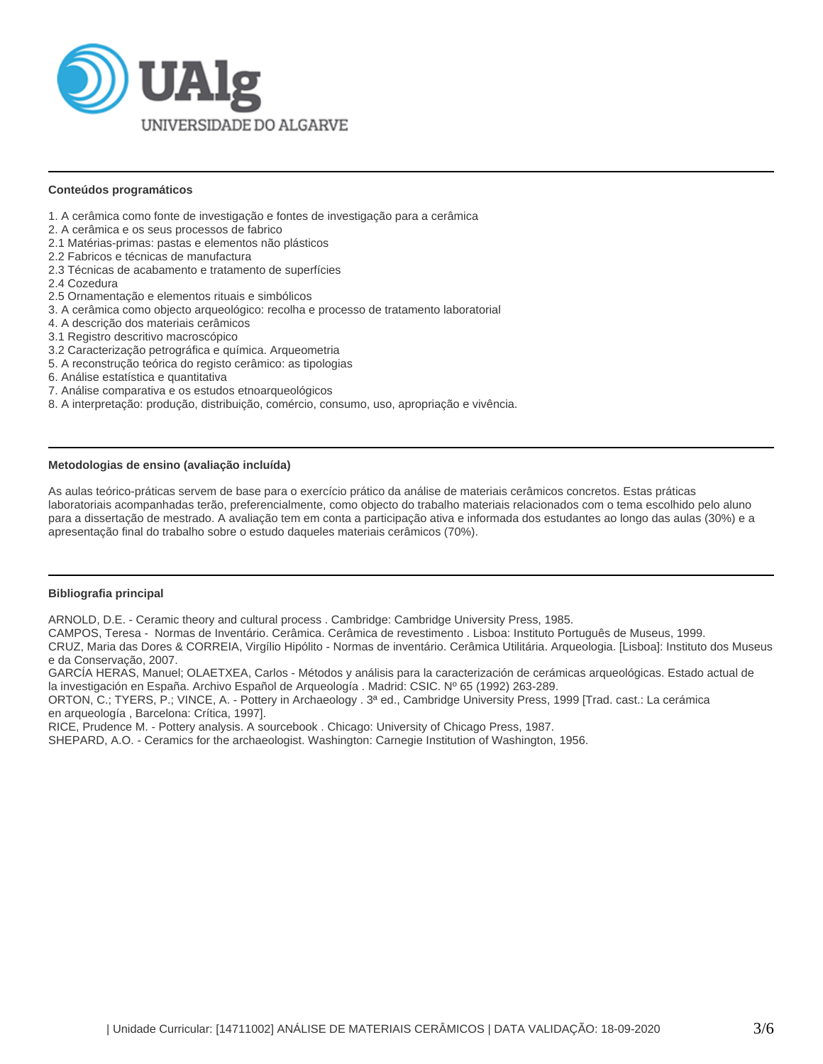

## **Conteúdos programáticos**

- 1. A cerâmica como fonte de investigação e fontes de investigação para a cerâmica
- 2. A cerâmica e os seus processos de fabrico
- 2.1 Matérias-primas: pastas e elementos não plásticos
- 2.2 Fabricos e técnicas de manufactura
- 2.3 Técnicas de acabamento e tratamento de superfícies
- 2.4 Cozedura
- 2.5 Ornamentação e elementos rituais e simbólicos
- 3. A cerâmica como objecto arqueológico: recolha e processo de tratamento laboratorial
- 4. A descrição dos materiais cerâmicos
- 3.1 Registro descritivo macroscópico
- 3.2 Caracterização petrográfica e química. Arqueometria
- 5. A reconstrução teórica do registo cerâmico: as tipologias
- 6. Análise estatística e quantitativa
- 7. Análise comparativa e os estudos etnoarqueológicos
- 8. A interpretação: produção, distribuição, comércio, consumo, uso, apropriação e vivência.

## **Metodologias de ensino (avaliação incluída)**

As aulas teórico-práticas servem de base para o exercício prático da análise de materiais cerâmicos concretos. Estas práticas laboratoriais acompanhadas terão, preferencialmente, como objecto do trabalho materiais relacionados com o tema escolhido pelo aluno para a dissertação de mestrado. A avaliação tem em conta a participação ativa e informada dos estudantes ao longo das aulas (30%) e a apresentação final do trabalho sobre o estudo daqueles materiais cerâmicos (70%).

## **Bibliografia principal**

ARNOLD, D.E. - Ceramic theory and cultural process . Cambridge: Cambridge University Press, 1985.

CAMPOS, Teresa - Normas de Inventário. Cerâmica. Cerâmica de revestimento . Lisboa: Instituto Português de Museus, 1999.

CRUZ, Maria das Dores & CORREIA, Virgílio Hipólito - Normas de inventário. Cerâmica Utilitária. Arqueologia. [Lisboa]: Instituto dos Museus e da Conservação, 2007.

GARCÍA HERAS, Manuel; OLAETXEA, Carlos - Métodos y análisis para la caracterización de cerámicas arqueológicas. Estado actual de la investigación en España. Archivo Español de Arqueología . Madrid: CSIC. Nº 65 (1992) 263-289.

ORTON, C.; TYERS, P.; VINCE, A. - Pottery in Archaeology . 3ª ed., Cambridge University Press, 1999 [Trad. cast.: La cerámica en arqueología , Barcelona: Crítica, 1997].

RICE, Prudence M. - Pottery analysis. A sourcebook . Chicago: University of Chicago Press, 1987.

SHEPARD, A.O. - Ceramics for the archaeologist. Washington: Carnegie Institution of Washington, 1956.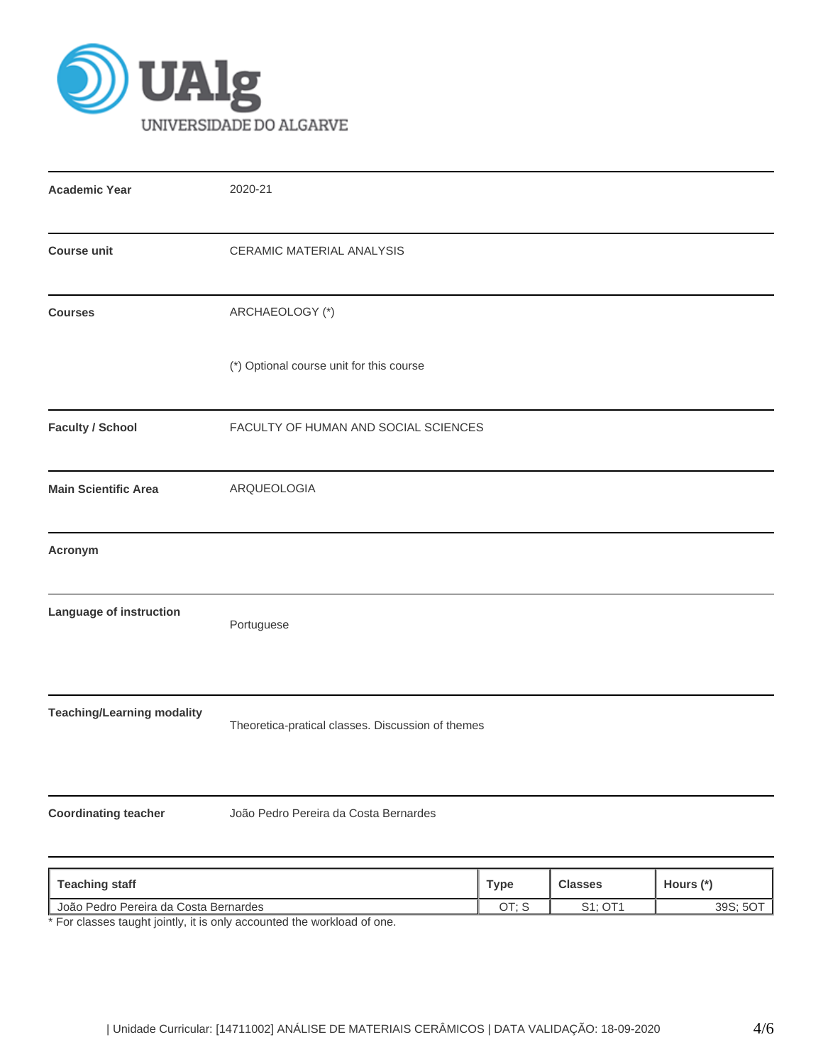

| <b>Academic Year</b>                  | 2020-21                                           |             |                |           |  |  |
|---------------------------------------|---------------------------------------------------|-------------|----------------|-----------|--|--|
| <b>Course unit</b>                    | CERAMIC MATERIAL ANALYSIS                         |             |                |           |  |  |
| <b>Courses</b>                        | ARCHAEOLOGY (*)                                   |             |                |           |  |  |
|                                       | (*) Optional course unit for this course          |             |                |           |  |  |
| <b>Faculty / School</b>               | FACULTY OF HUMAN AND SOCIAL SCIENCES              |             |                |           |  |  |
| <b>Main Scientific Area</b>           | ARQUEOLOGIA                                       |             |                |           |  |  |
| Acronym                               |                                                   |             |                |           |  |  |
| Language of instruction               | Portuguese                                        |             |                |           |  |  |
| <b>Teaching/Learning modality</b>     | Theoretica-pratical classes. Discussion of themes |             |                |           |  |  |
| <b>Coordinating teacher</b>           | João Pedro Pereira da Costa Bernardes             |             |                |           |  |  |
| <b>Teaching staff</b>                 |                                                   | <b>Type</b> | <b>Classes</b> | Hours (*) |  |  |
| João Pedro Pereira da Costa Bernardes |                                                   | OT; S       | S1; OT1        | 39S; 5OT  |  |  |

\* For classes taught jointly, it is only accounted the workload of one.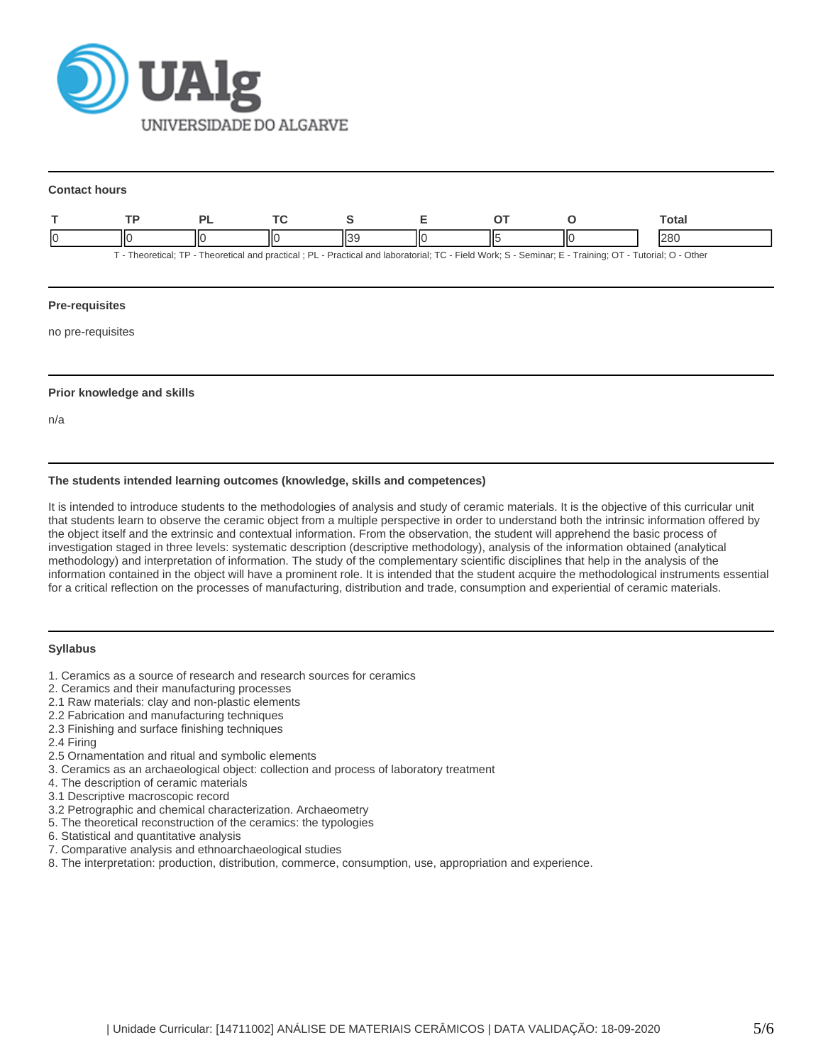

#### **Contact hours**

|                                                                                                                                                    |    |  |  |  |    |  |  | ⊤otal |
|----------------------------------------------------------------------------------------------------------------------------------------------------|----|--|--|--|----|--|--|-------|
|                                                                                                                                                    | IЮ |  |  |  | НΟ |  |  | 280   |
| Theoretical: TP - Theoretical and practical: PL - Practical and laboratorial: TC - Field Work: S - Seminar: E - Training: OT - Tutorial: O - Other |    |  |  |  |    |  |  |       |

### **Pre-requisites**

no pre-requisites

# **Prior knowledge and skills**

n/a

# **The students intended learning outcomes (knowledge, skills and competences)**

It is intended to introduce students to the methodologies of analysis and study of ceramic materials. It is the objective of this curricular unit that students learn to observe the ceramic object from a multiple perspective in order to understand both the intrinsic information offered by the object itself and the extrinsic and contextual information. From the observation, the student will apprehend the basic process of investigation staged in three levels: systematic description (descriptive methodology), analysis of the information obtained (analytical methodology) and interpretation of information. The study of the complementary scientific disciplines that help in the analysis of the information contained in the object will have a prominent role. It is intended that the student acquire the methodological instruments essential for a critical reflection on the processes of manufacturing, distribution and trade, consumption and experiential of ceramic materials.

### **Syllabus**

- 1. Ceramics as a source of research and research sources for ceramics
- 2. Ceramics and their manufacturing processes
- 2.1 Raw materials: clay and non-plastic elements
- 2.2 Fabrication and manufacturing techniques
- 2.3 Finishing and surface finishing techniques
- 2.4 Firing
- 2.5 Ornamentation and ritual and symbolic elements
- 3. Ceramics as an archaeological object: collection and process of laboratory treatment
- 4. The description of ceramic materials
- 3.1 Descriptive macroscopic record
- 3.2 Petrographic and chemical characterization. Archaeometry
- 5. The theoretical reconstruction of the ceramics: the typologies
- 6. Statistical and quantitative analysis
- 7. Comparative analysis and ethnoarchaeological studies
- 8. The interpretation: production, distribution, commerce, consumption, use, appropriation and experience.